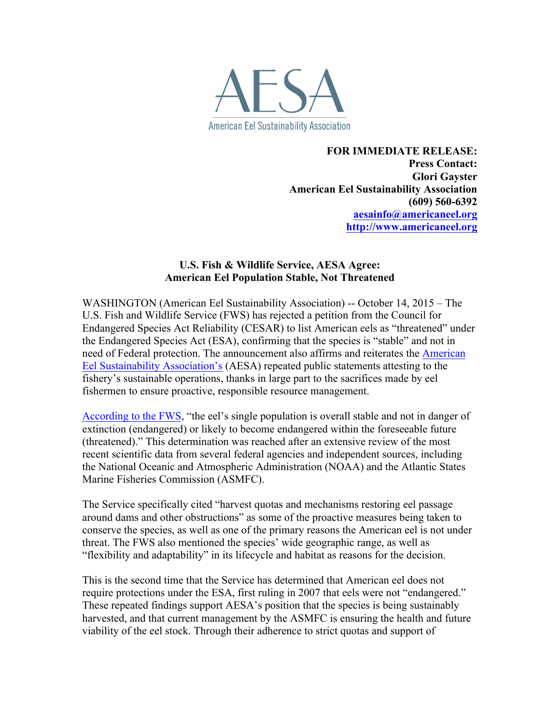

**FOR IMMEDIATE RELEASE: Press Contact: Glori Gayster American Eel Sustainability Association (609) 560-6392 aesainfo@americaneel.org http://www.americaneel.org**

## **U.S. Fish & Wildlife Service, AESA Agree: American Eel Population Stable, Not Threatened**

WASHINGTON (American Eel Sustainability Association) -- October 14, 2015 – The U.S. Fish and Wildlife Service (FWS) has rejected a petition from the Council for Endangered Species Act Reliability (CESAR) to list American eels as "threatened" under the Endangered Species Act (ESA), confirming that the species is "stable" and not in need of Federal protection. [The announcement also affirms and reiterates the American](http://americaneel.org/) Eel Sustainability Association's (AESA) repeated public statements attesting to the fishery's sustainable operations, thanks in large part to the sacrifices made by eel fishermen to ensure proactive, responsible resource management.

[According to the FWS,](http://www.fws.gov/news/ShowNews.cfm?ref=american-eel-population-remains-stable-does-not-need-esa-protection-&_ID=35258) "the eel's single population is overall stable and not in danger of extinction (endangered) or likely to become endangered within the foreseeable future (threatened)." This determination was reached after an extensive review of the most recent scientific data from several federal agencies and independent sources, including the National Oceanic and Atmospheric Administration (NOAA) and the Atlantic States Marine Fisheries Commission (ASMFC).

The Service specifically cited "harvest quotas and mechanisms restoring eel passage around dams and other obstructions" as some of the proactive measures being taken to conserve the species, as well as one of the primary reasons the American eel is not under threat. The FWS also mentioned the species' wide geographic range, as well as "flexibility and adaptability" in its lifecycle and habitat as reasons for the decision.

This is the second time that the Service has determined that American eel does not require protections under the ESA, first ruling in 2007 that eels were not "endangered." These repeated findings support AESA's position that the species is being sustainably harvested, and that current management by the ASMFC is ensuring the health and future viability of the eel stock. Through their adherence to strict quotas and support of